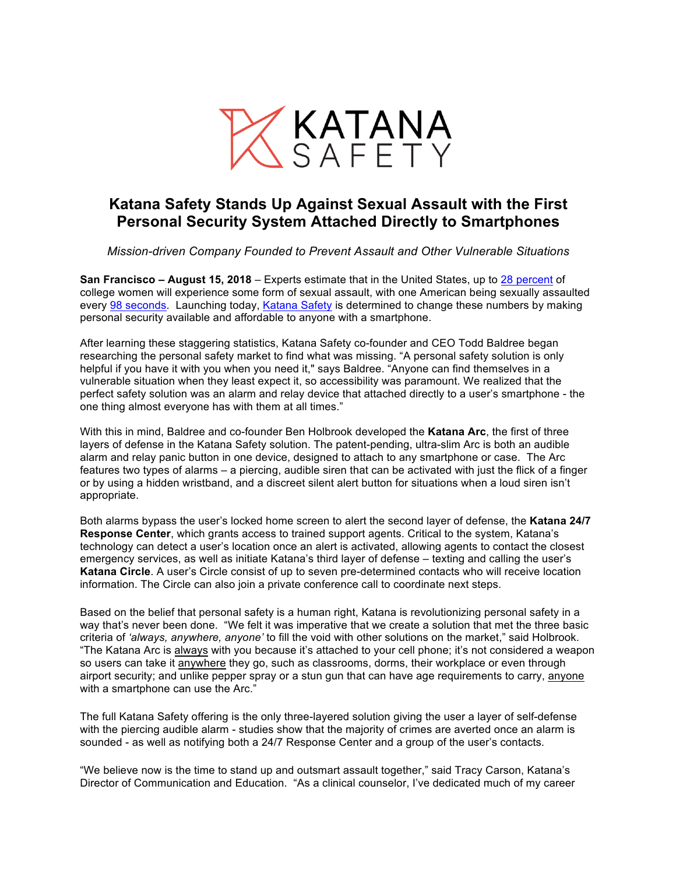

## **Katana Safety Stands Up Against Sexual Assault with the First Personal Security System Attached Directly to Smartphones**

*Mission-driven Company Founded to Prevent Assault and Other Vulnerable Situations*

**San Francisco – August 15, 2018** – Experts estimate that in the United States, up to 28 percent of college women will experience some form of sexual assault, with one American being sexually assaulted every 98 seconds. Launching today, Katana Safety is determined to change these numbers by making personal security available and affordable to anyone with a smartphone.

After learning these staggering statistics, Katana Safety co-founder and CEO Todd Baldree began researching the personal safety market to find what was missing. "A personal safety solution is only helpful if you have it with you when you need it," says Baldree. "Anyone can find themselves in a vulnerable situation when they least expect it, so accessibility was paramount. We realized that the perfect safety solution was an alarm and relay device that attached directly to a user's smartphone - the one thing almost everyone has with them at all times."

With this in mind, Baldree and co-founder Ben Holbrook developed the **Katana Arc**, the first of three layers of defense in the Katana Safety solution. The patent-pending, ultra-slim Arc is both an audible alarm and relay panic button in one device, designed to attach to any smartphone or case. The Arc features two types of alarms – a piercing, audible siren that can be activated with just the flick of a finger or by using a hidden wristband, and a discreet silent alert button for situations when a loud siren isn't appropriate.

Both alarms bypass the user's locked home screen to alert the second layer of defense, the **Katana 24/7 Response Center**, which grants access to trained support agents. Critical to the system, Katana's technology can detect a user's location once an alert is activated, allowing agents to contact the closest emergency services, as well as initiate Katana's third layer of defense – texting and calling the user's **Katana Circle**. A user's Circle consist of up to seven pre-determined contacts who will receive location information. The Circle can also join a private conference call to coordinate next steps.

Based on the belief that personal safety is a human right, Katana is revolutionizing personal safety in a way that's never been done. "We felt it was imperative that we create a solution that met the three basic criteria of *'always, anywhere, anyone'* to fill the void with other solutions on the market," said Holbrook. "The Katana Arc is always with you because it's attached to your cell phone; it's not considered a weapon so users can take it anywhere they go, such as classrooms, dorms, their workplace or even through airport security; and unlike pepper spray or a stun gun that can have age requirements to carry, anyone with a smartphone can use the Arc."

The full Katana Safety offering is the only three-layered solution giving the user a layer of self-defense with the piercing audible alarm - studies show that the majority of crimes are averted once an alarm is sounded - as well as notifying both a 24/7 Response Center and a group of the user's contacts.

"We believe now is the time to stand up and outsmart assault together," said Tracy Carson, Katana's Director of Communication and Education. "As a clinical counselor, I've dedicated much of my career